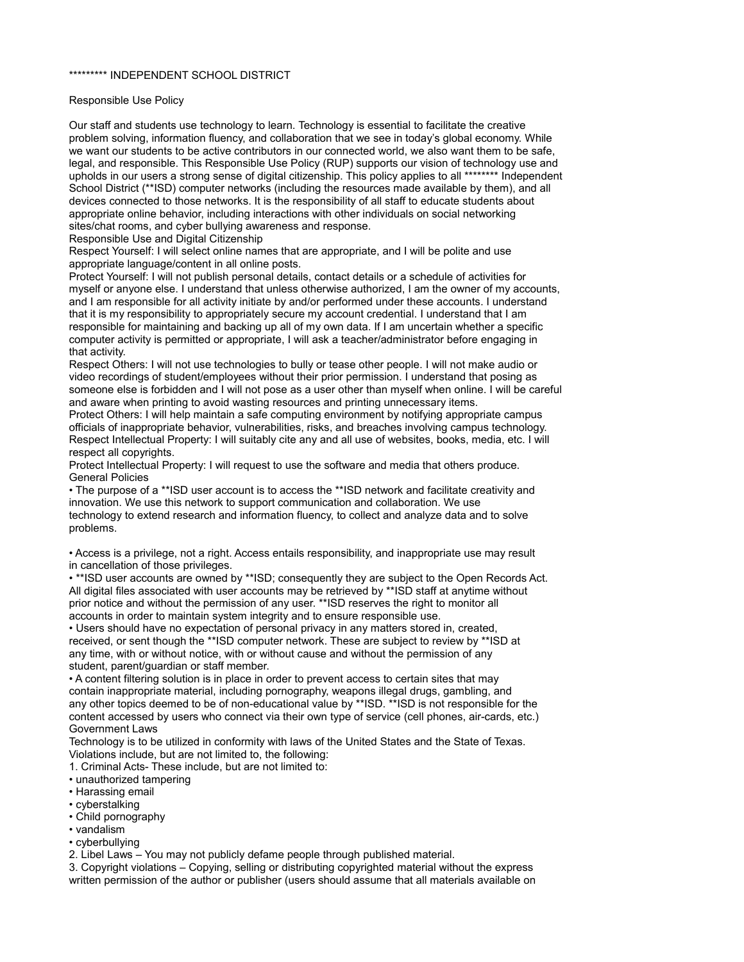#### \*\*\*\*\*\*\*\*\* INDEPENDENT SCHOOL DISTRICT

#### Responsible Use Policy

Our staff and students use technology to learn. Technology is essential to facilitate the creative problem solving, information fluency, and collaboration that we see in today's global economy. While we want our students to be active contributors in our connected world, we also want them to be safe, legal, and responsible. This Responsible Use Policy (RUP) supports our vision of technology use and upholds in our users a strong sense of digital citizenship. This policy applies to all \*\*\*\*\*\*\*\* Independent School District (\*\*ISD) computer networks (including the resources made available by them), and all devices connected to those networks. It is the responsibility of all staff to educate students about appropriate online behavior, including interactions with other individuals on social networking sites/chat rooms, and cyber bullying awareness and response.

Responsible Use and Digital Citizenship

Respect Yourself: I will select online names that are appropriate, and I will be polite and use appropriate language/content in all online posts.

Protect Yourself: I will not publish personal details, contact details or a schedule of activities for myself or anyone else. I understand that unless otherwise authorized, I am the owner of my accounts, and I am responsible for all activity initiate by and/or performed under these accounts. I understand that it is my responsibility to appropriately secure my account credential. I understand that I am responsible for maintaining and backing up all of my own data. If I am uncertain whether a specific computer activity is permitted or appropriate, I will ask a teacher/administrator before engaging in that activity.

Respect Others: I will not use technologies to bully or tease other people. I will not make audio or video recordings of student/employees without their prior permission. I understand that posing as someone else is forbidden and I will not pose as a user other than myself when online. I will be careful and aware when printing to avoid wasting resources and printing unnecessary items.

Protect Others: I will help maintain a safe computing environment by notifying appropriate campus officials of inappropriate behavior, vulnerabilities, risks, and breaches involving campus technology. Respect Intellectual Property: I will suitably cite any and all use of websites, books, media, etc. I will respect all copyrights.

Protect Intellectual Property: I will request to use the software and media that others produce. General Policies

• The purpose of a \*\*ISD user account is to access the \*\*ISD network and facilitate creativity and innovation. We use this network to support communication and collaboration. We use technology to extend research and information fluency, to collect and analyze data and to solve problems.

• Access is a privilege, not a right. Access entails responsibility, and inappropriate use may result in cancellation of those privileges.

• \*\*ISD user accounts are owned by \*\*ISD; consequently they are subject to the Open Records Act. All digital files associated with user accounts may be retrieved by \*\*ISD staff at anytime without prior notice and without the permission of any user. \*\*ISD reserves the right to monitor all accounts in order to maintain system integrity and to ensure responsible use.

• Users should have no expectation of personal privacy in any matters stored in, created, received, or sent though the \*\*ISD computer network. These are subject to review by \*\*ISD at any time, with or without notice, with or without cause and without the permission of any student, parent/guardian or staff member.

• A content filtering solution is in place in order to prevent access to certain sites that may contain inappropriate material, including pornography, weapons illegal drugs, gambling, and any other topics deemed to be of non-educational value by \*\*ISD. \*\*ISD is not responsible for the content accessed by users who connect via their own type of service (cell phones, air-cards, etc.) Government Laws

Technology is to be utilized in conformity with laws of the United States and the State of Texas. Violations include, but are not limited to, the following:

1. Criminal Acts- These include, but are not limited to:

- unauthorized tampering
- Harassing email
- cyberstalking
- Child pornography
- vandalism
- cyberbullying

2. Libel Laws – You may not publicly defame people through published material.

3. Copyright violations – Copying, selling or distributing copyrighted material without the express written permission of the author or publisher (users should assume that all materials available on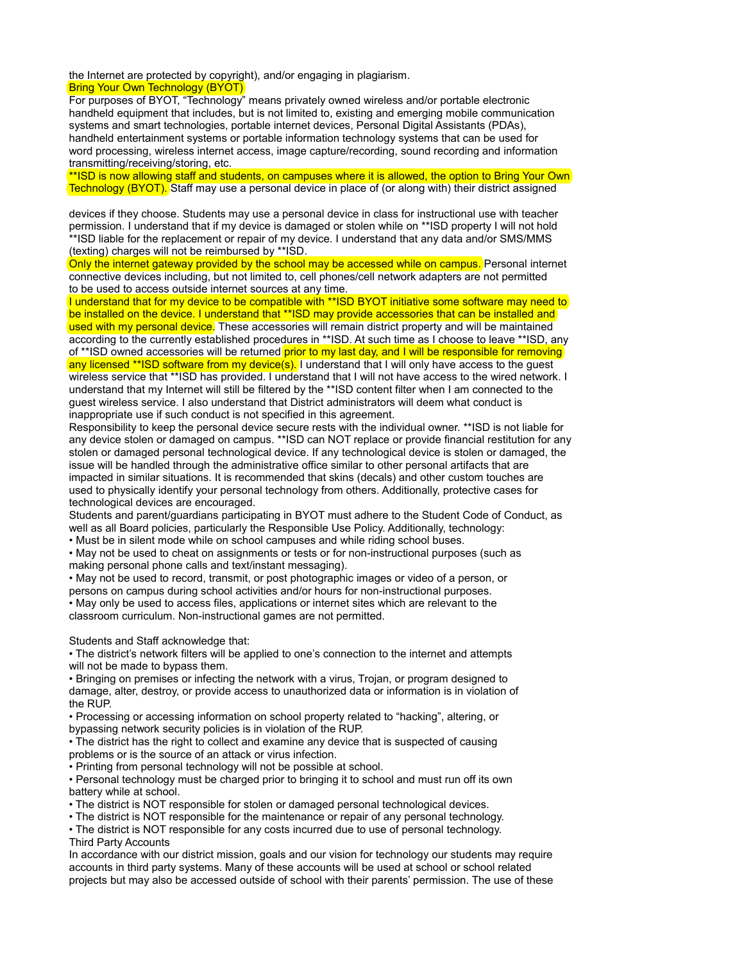the Internet are protected by copyright), and/or engaging in plagiarism. **Bring Your Own Technology (BYOT)** 

For purposes of BYOT, "Technology" means privately owned wireless and/or portable electronic handheld equipment that includes, but is not limited to, existing and emerging mobile communication systems and smart technologies, portable internet devices, Personal Digital Assistants (PDAs), handheld entertainment systems or portable information technology systems that can be used for word processing, wireless internet access, image capture/recording, sound recording and information transmitting/receiving/storing, etc.

\*\*ISD is now allowing staff and students, on campuses where it is allowed, the option to Bring Your Own Technology (BYOT). Staff may use a personal device in place of (or along with) their district assigned

devices if they choose. Students may use a personal device in class for instructional use with teacher permission. I understand that if my device is damaged or stolen while on \*\*ISD property I will not hold \*\*ISD liable for the replacement or repair of my device. I understand that any data and/or SMS/MMS (texting) charges will not be reimbursed by \*\*ISD.

Only the internet gateway provided by the school may be accessed while on campus. Personal internet connective devices including, but not limited to, cell phones/cell network adapters are not permitted to be used to access outside internet sources at any time.

I understand that for my device to be compatible with \*\*ISD BYOT initiative some software may need to be installed on the device. I understand that \*\*ISD may provide accessories that can be installed and used with my personal device. These accessories will remain district property and will be maintained according to the currently established procedures in \*\*ISD. At such time as I choose to leave \*\*ISD, any of \*\*ISD owned accessories will be returned **prior to my last day, and I will be responsible for removing** any licensed \*\*ISD software from my device(s). I understand that I will only have access to the guest wireless service that \*\*ISD has provided. I understand that I will not have access to the wired network. I understand that my Internet will still be filtered by the \*\*ISD content filter when I am connected to the guest wireless service. I also understand that District administrators will deem what conduct is inappropriate use if such conduct is not specified in this agreement.

Responsibility to keep the personal device secure rests with the individual owner. \*\*ISD is not liable for any device stolen or damaged on campus. \*\*ISD can NOT replace or provide financial restitution for any stolen or damaged personal technological device. If any technological device is stolen or damaged, the issue will be handled through the administrative office similar to other personal artifacts that are impacted in similar situations. It is recommended that skins (decals) and other custom touches are used to physically identify your personal technology from others. Additionally, protective cases for technological devices are encouraged.

Students and parent/guardians participating in BYOT must adhere to the Student Code of Conduct, as well as all Board policies, particularly the Responsible Use Policy. Additionally, technology:

• Must be in silent mode while on school campuses and while riding school buses.

• May not be used to cheat on assignments or tests or for non-instructional purposes (such as making personal phone calls and text/instant messaging).

• May not be used to record, transmit, or post photographic images or video of a person, or persons on campus during school activities and/or hours for non-instructional purposes.

• May only be used to access files, applications or internet sites which are relevant to the classroom curriculum. Non-instructional games are not permitted.

Students and Staff acknowledge that:

• The district's network filters will be applied to one's connection to the internet and attempts will not be made to bypass them.

• Bringing on premises or infecting the network with a virus, Trojan, or program designed to damage, alter, destroy, or provide access to unauthorized data or information is in violation of the RUP.

• Processing or accessing information on school property related to "hacking", altering, or bypassing network security policies is in violation of the RUP.

• The district has the right to collect and examine any device that is suspected of causing problems or is the source of an attack or virus infection.

• Printing from personal technology will not be possible at school.

• Personal technology must be charged prior to bringing it to school and must run off its own battery while at school.

• The district is NOT responsible for stolen or damaged personal technological devices.

• The district is NOT responsible for the maintenance or repair of any personal technology.

• The district is NOT responsible for any costs incurred due to use of personal technology. Third Party Accounts

In accordance with our district mission, goals and our vision for technology our students may require accounts in third party systems. Many of these accounts will be used at school or school related projects but may also be accessed outside of school with their parents' permission. The use of these